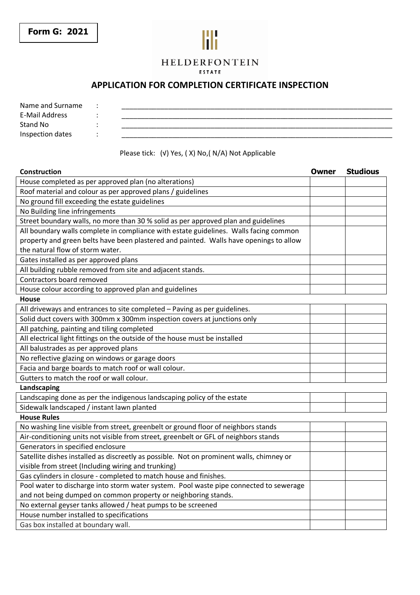#### **HELDERFONTEIN** FSTATE

## **APPLICATION FOR COMPLETION CERTIFICATE INSPECTION**

| Name and Surname |  |
|------------------|--|
| E-Mail Address   |  |
| Stand No         |  |
| Inspection dates |  |

#### Please tick: (√) Yes, ( X) No,( N/A) Not Applicable

## **Construction Owner Studious**  House completed as per approved plan (no alterations) Roof material and colour as per approved plans / guidelines No ground fill exceeding the estate guidelines No Building line infringements Street boundary walls, no more than 30 % solid as per approved plan and guidelines All boundary walls complete in compliance with estate guidelines. Walls facing common property and green belts have been plastered and painted. Walls have openings to allow the natural flow of storm water. Gates installed as per approved plans All building rubble removed from site and adjacent stands. Contractors board removed House colour according to approved plan and guidelines **House**  All driveways and entrances to site completed – Paving as per guidelines. Solid duct covers with 300mm x 300mm inspection covers at junctions only All patching, painting and tiling completed All electrical light fittings on the outside of the house must be installed All balustrades as per approved plans No reflective glazing on windows or garage doors Facia and barge boards to match roof or wall colour. Gutters to match the roof or wall colour. **Landscaping**  Landscaping done as per the indigenous landscaping policy of the estate Sidewalk landscaped / instant lawn planted **House Rules**  No washing line visible from street, greenbelt or ground floor of neighbors stands Air-conditioning units not visible from street, greenbelt or GFL of neighbors stands Generators in specified enclosure Satellite dishes installed as discreetly as possible. Not on prominent walls, chimney or visible from street (Including wiring and trunking) Gas cylinders in closure - completed to match house and finishes. Pool water to discharge into storm water system. Pool waste pipe connected to sewerage and not being dumped on common property or neighboring stands. No external geyser tanks allowed / heat pumps to be screened House number installed to specifications Gas box installed at boundary wall.